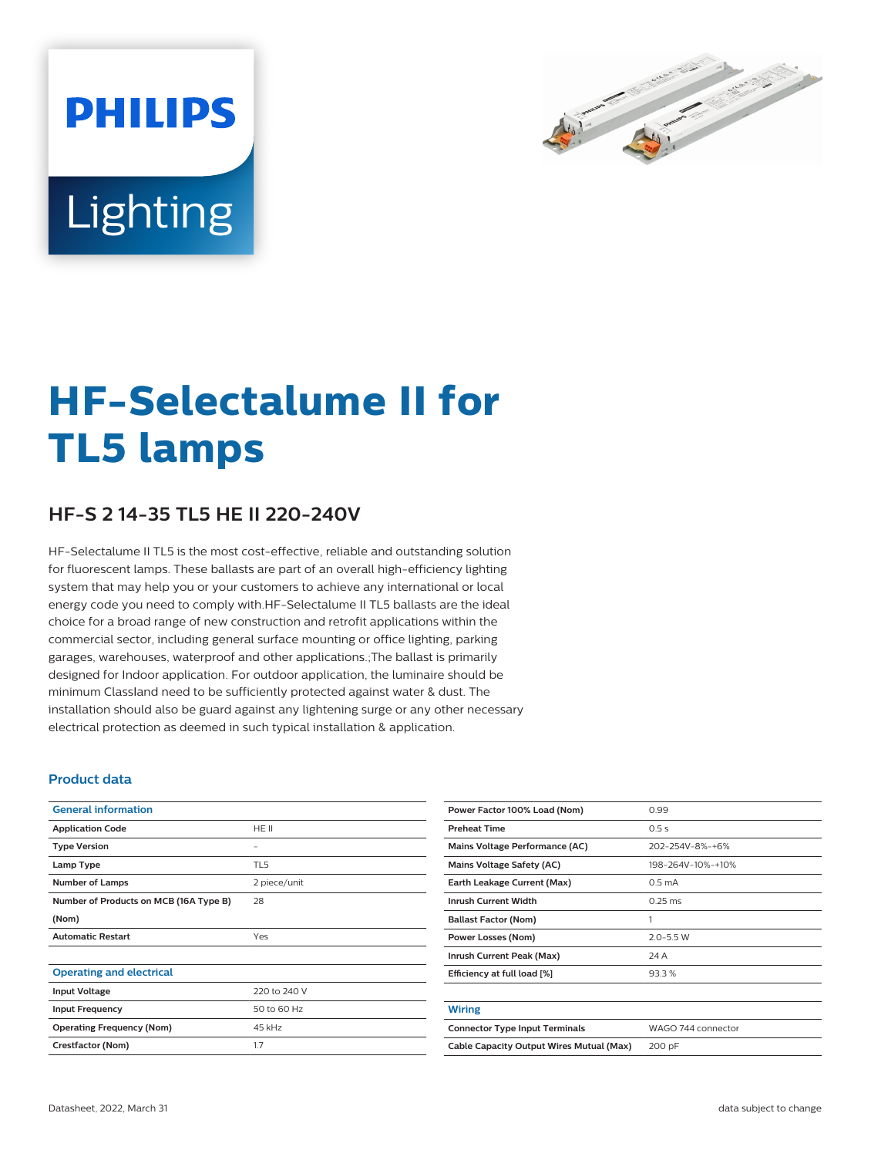

# Lighting

**PHILIPS** 

# **HF-Selectalume II for TL5 lamps**

## **HF-S 2 14-35 TL5 HE II 220-240V**

HF-Selectalume II TL5 is the most cost-effective, reliable and outstanding solution for fluorescent lamps. These ballasts are part of an overall high-efficiency lighting system that may help you or your customers to achieve any international or local energy code you need to comply with.HF-Selectalume II TL5 ballasts are the ideal choice for a broad range of new construction and retrofit applications within the commercial sector, including general surface mounting or office lighting, parking garages, warehouses, waterproof and other applications.;The ballast is primarily designed for Indoor application. For outdoor application, the luminaire should be minimum Classland need to be sufficiently protected against water & dust. The installation should also be guard against any lightening surge or any other necessary electrical protection as deemed in such typical installation & application.

#### **Product data**

| <b>General information</b>             |              |
|----------------------------------------|--------------|
| <b>Application Code</b>                | HE II        |
| <b>Type Version</b>                    |              |
| Lamp Type                              | TL5          |
| <b>Number of Lamps</b>                 | 2 piece/unit |
| Number of Products on MCB (16A Type B) | 28           |
| (Nom)                                  |              |
| <b>Automatic Restart</b>               | Yes          |
|                                        |              |
| <b>Operating and electrical</b>        |              |
| <b>Input Voltage</b>                   | 220 to 240 V |
| <b>Input Frequency</b>                 | 50 to 60 Hz  |
| <b>Operating Frequency (Nom)</b>       | 45 kHz       |
| Crestfactor (Nom)                      | 1.7          |

| Power Factor 100% Load (Nom)             | 0.99               |
|------------------------------------------|--------------------|
| <b>Preheat Time</b>                      | 0.5s               |
| Mains Voltage Performance (AC)           | 202-254V-8%-+6%    |
| <b>Mains Voltage Safety (AC)</b>         | 198-264V-10%-+10%  |
| Earth Leakage Current (Max)              | 0.5 <sub>m</sub> A |
| <b>Inrush Current Width</b>              | $0.25$ ms          |
| <b>Ballast Factor (Nom)</b>              | 1                  |
| Power Losses (Nom)                       | $2.0 - 5.5$ W      |
| Inrush Current Peak (Max)                | 24 A               |
| Efficiency at full load [%]              | 93.3%              |
|                                          |                    |
| <b>Wiring</b>                            |                    |
| <b>Connector Type Input Terminals</b>    | WAGO 744 connector |
| Cable Capacity Output Wires Mutual (Max) | 200 pF             |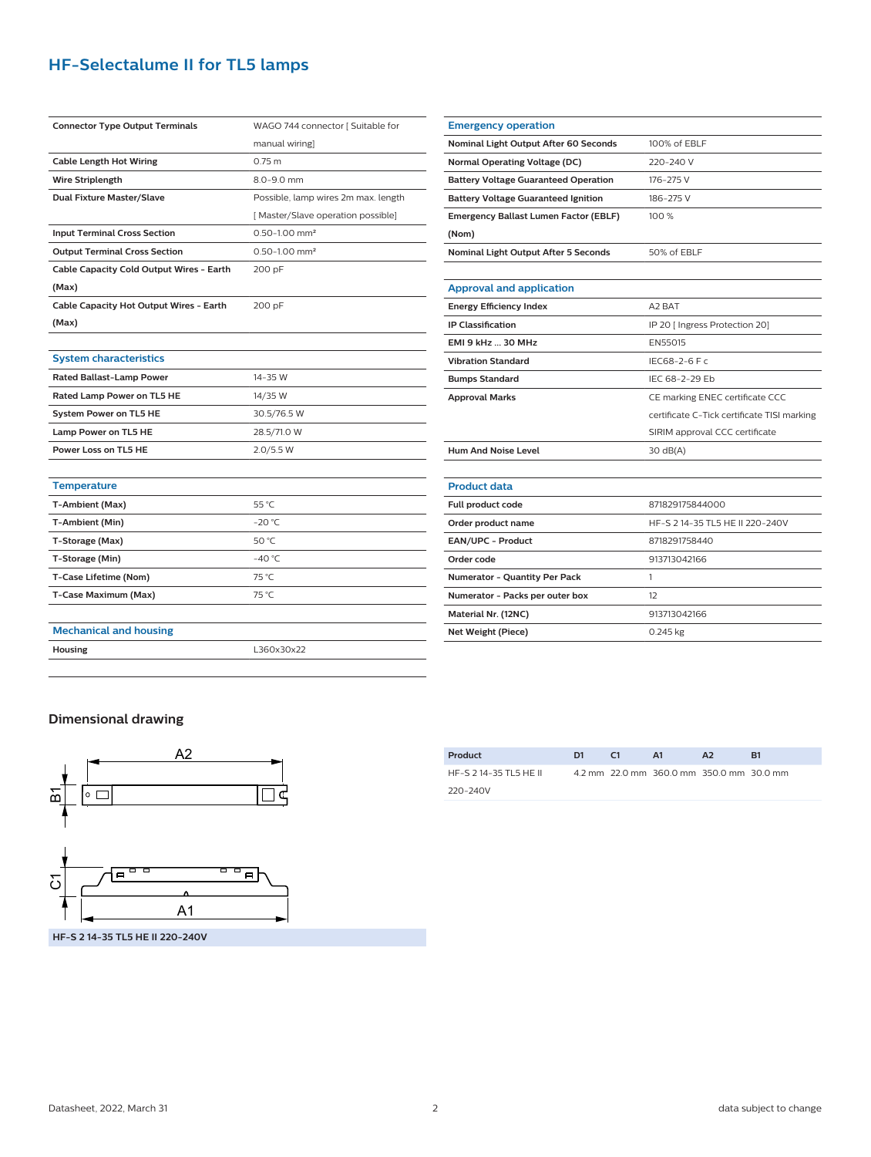## **HF-Selectalume II for TL5 lamps**

| <b>Connector Type Output Terminals</b>   | WAGO 744 connector [ Suitable for   |  |  |  |
|------------------------------------------|-------------------------------------|--|--|--|
|                                          | manual wiring]                      |  |  |  |
| <b>Cable Length Hot Wiring</b>           | 0.75 <sub>m</sub>                   |  |  |  |
| Wire Striplength                         | 8.0-9.0 mm                          |  |  |  |
| <b>Dual Fixture Master/Slave</b>         | Possible, lamp wires 2m max. length |  |  |  |
|                                          | [Master/Slave operation possible]   |  |  |  |
| <b>Input Terminal Cross Section</b>      | $0.50 - 1.00$ mm <sup>2</sup>       |  |  |  |
| <b>Output Terminal Cross Section</b>     | $0.50 - 1.00$ mm <sup>2</sup>       |  |  |  |
| Cable Capacity Cold Output Wires - Earth | 200 pF                              |  |  |  |
| (Max)                                    |                                     |  |  |  |
| Cable Capacity Hot Output Wires - Earth  | 200 pF                              |  |  |  |
| (Max)                                    |                                     |  |  |  |
|                                          |                                     |  |  |  |
| <b>System characteristics</b>            |                                     |  |  |  |
| <b>Rated Ballast-Lamp Power</b>          | 14-35 W                             |  |  |  |
| Rated Lamp Power on TL5 HE               | 14/35 W                             |  |  |  |
| <b>System Power on TL5 HE</b>            | 30.5/76.5 W                         |  |  |  |
| Lamp Power on TL5 HE                     | 28.5/71.0 W                         |  |  |  |
| Power Loss on TL5 HE                     | 2.0/5.5 W                           |  |  |  |
|                                          |                                     |  |  |  |
| <b>Temperature</b>                       |                                     |  |  |  |
| T-Ambient (Max)                          | 55 °C                               |  |  |  |
| T-Ambient (Min)                          | $-20 °C$                            |  |  |  |
| T-Storage (Max)                          | 50 °C                               |  |  |  |
| T-Storage (Min)                          | $-40 °C$                            |  |  |  |
| T-Case Lifetime (Nom)                    | 75 °C                               |  |  |  |
| T-Case Maximum (Max)                     | 75 °C                               |  |  |  |
|                                          |                                     |  |  |  |
| <b>Mechanical and housing</b>            |                                     |  |  |  |
| Housing                                  | L360x30x22                          |  |  |  |

| <b>Emergency operation</b>                   |                                             |  |  |
|----------------------------------------------|---------------------------------------------|--|--|
| Nominal Light Output After 60 Seconds        | 100% of EBLF                                |  |  |
| <b>Normal Operating Voltage (DC)</b>         | 220-240 V                                   |  |  |
| <b>Battery Voltage Guaranteed Operation</b>  | 176-275 V                                   |  |  |
| <b>Battery Voltage Guaranteed Ignition</b>   | 186-275 V                                   |  |  |
| <b>Emergency Ballast Lumen Factor (EBLF)</b> | 100 %                                       |  |  |
| (Nom)                                        |                                             |  |  |
| Nominal Light Output After 5 Seconds         | 50% of EBLF                                 |  |  |
|                                              |                                             |  |  |
| <b>Approval and application</b>              |                                             |  |  |
| <b>Energy Efficiency Index</b>               | A2 BAT                                      |  |  |
| <b>IP Classification</b>                     | IP 20 [ Ingress Protection 20]              |  |  |
| <b>EMI 9 kHz  30 MHz</b>                     | EN55015                                     |  |  |
| <b>Vibration Standard</b>                    | IEC68-2-6 F c                               |  |  |
| <b>Bumps Standard</b>                        | IFC 68-2-29 Fb                              |  |  |
| <b>Approval Marks</b>                        | CE marking ENEC certificate CCC             |  |  |
|                                              | certificate C-Tick certificate TISI marking |  |  |
|                                              | SIRIM approval CCC certificate              |  |  |
| <b>Hum And Noise Level</b>                   | 30 dB(A)                                    |  |  |
|                                              |                                             |  |  |
| <b>Product data</b>                          |                                             |  |  |
| Full product code                            | 871829175844000                             |  |  |
| Order product name                           | HF-S 2 14-35 TL5 HE II 220-240V             |  |  |
| EAN/UPC - Product                            | 8718291758440                               |  |  |
| Order code                                   | 913713042166                                |  |  |
| Numerator - Quantity Per Pack                | 1                                           |  |  |
| Numerator - Packs per outer box              | 12                                          |  |  |
| Material Nr. (12NC)                          | 913713042166                                |  |  |
| Net Weight (Piece)                           | 0.245 kg                                    |  |  |

#### **Dimensional drawing**



| Product                | D1 | C <sub>1</sub> | A1                                       | A2 | R1 |
|------------------------|----|----------------|------------------------------------------|----|----|
| HF-S 2 14-35 TL5 HE II |    |                | 4.2 mm 22.0 mm 360.0 mm 350.0 mm 30.0 mm |    |    |
| 220-240V               |    |                |                                          |    |    |